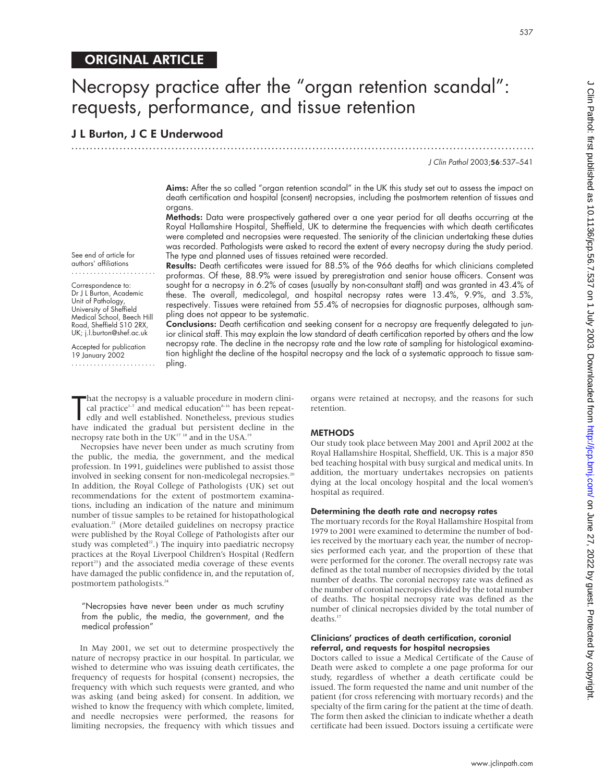## ORIGINAL ARTICLE

## Necropsy practice after the "organ retention scandal": requests, performance, and tissue retention

## J L Burton, J C E Underwood

J Clin Pathol 2003;56:537–541

Aims: After the so called "organ retention scandal" in the UK this study set out to assess the impact on death certification and hospital (consent) necropsies, including the postmortem retention of tissues and organs.

.............................................................................................................................

Methods: Data were prospectively gathered over a one year period for all deaths occurring at the Royal Hallamshire Hospital, Sheffield, UK to determine the frequencies with which death certificates were completed and necropsies were requested. The seniority of the clinician undertaking these duties was recorded. Pathologists were asked to record the extent of every necropsy during the study period. The type and planned uses of tissues retained were recorded.

Results: Death certificates were issued for 88.5% of the 966 deaths for which clinicians completed proformas. Of these, 88.9% were issued by preregistration and senior house officers. Consent was sought for a necropsy in 6.2% of cases (usually by non-consultant staff) and was granted in 43.4% of these. The overall, medicolegal, and hospital necropsy rates were 13.4%, 9.9%, and 3.5%, respectively. Tissues were retained from 55.4% of necropsies for diagnostic purposes, although sampling does not appear to be systematic.

Conclusions: Death certification and seeking consent for a necropsy are frequently delegated to junior clinical staff. This may explain the low standard of death certification reported by others and the low necropsy rate. The decline in the necropsy rate and the low rate of sampling for histological examination highlight the decline of the hospital necropsy and the lack of a systematic approach to tissue sampling.

hat the necropsy is a valuable procedure in modern clinical practice<sup>1-7</sup> and medical education<sup>8-16</sup> has been repeatedly and well established. Nonetheless, previous studies have indicated the gradual but persistent declin hat the necropsy is a valuable procedure in modern clinical practice<sup>1-7</sup> and medical education<sup>8-16</sup> has been repeatedly and well established. Nonetheless, previous studies necropsy rate both in the UK $17$ <sup>18</sup> and in the USA.<sup>19</sup>

Necropsies have never been under as much scrutiny from the public, the media, the government, and the medical profession. In 1991, guidelines were published to assist those involved in seeking consent for non-medicolegal necropsies.<sup>20</sup> In addition, the Royal College of Pathologists (UK) set out recommendations for the extent of postmortem examinations, including an indication of the nature and minimum number of tissue samples to be retained for histopathological evaluation.<sup>21</sup> (More detailed guidelines on necropsy practice were published by the Royal College of Pathologists after our study was completed $^{22}$ .) The inquiry into paediatric necropsy practices at the Royal Liverpool Children's Hospital (Redfern report<sup>23</sup>) and the associated media coverage of these events have damaged the public confidence in, and the reputation of, postmortem pathologists.24

"Necropsies have never been under as much scrutiny from the public, the media, the government, and the medical profession"

In May 2001, we set out to determine prospectively the nature of necropsy practice in our hospital. In particular, we wished to determine who was issuing death certificates, the frequency of requests for hospital (consent) necropsies, the frequency with which such requests were granted, and who was asking (and being asked) for consent. In addition, we wished to know the frequency with which complete, limited, and needle necropsies were performed, the reasons for limiting necropsies, the frequency with which tissues and

organs were retained at necropsy, and the reasons for such retention.

#### **METHODS**

Our study took place between May 2001 and April 2002 at the Royal Hallamshire Hospital, Sheffield, UK. This is a major 850 bed teaching hospital with busy surgical and medical units. In addition, the mortuary undertakes necropsies on patients dying at the local oncology hospital and the local women's hospital as required.

#### Determining the death rate and necropsy rates

The mortuary records for the Royal Hallamshire Hospital from 1979 to 2001 were examined to determine the number of bodies received by the mortuary each year, the number of necropsies performed each year, and the proportion of these that were performed for the coroner. The overall necropsy rate was defined as the total number of necropsies divided by the total number of deaths. The coronial necropsy rate was defined as the number of coronial necropsies divided by the total number of deaths. The hospital necropsy rate was defined as the number of clinical necropsies divided by the total number of deaths<sup>17</sup>

#### Clinicians' practices of death certification, coronial referral, and requests for hospital necropsies

Doctors called to issue a Medical Certificate of the Cause of Death were asked to complete a one page proforma for our study, regardless of whether a death certificate could be issued. The form requested the name and unit number of the patient (for cross referencing with mortuary records) and the specialty of the firm caring for the patient at the time of death. The form then asked the clinician to indicate whether a death certificate had been issued. Doctors issuing a certificate were

#### Correspondence to: Dr J L Burton, Academic Unit of Pathology, University of Sheffield Medical School, Beech Hill Road, Sheffield S10 2RX,

See end of article for authors' affiliations .......................

UK; j.l.burton@shef.ac.uk Accepted for publication 19 January 2002

.......................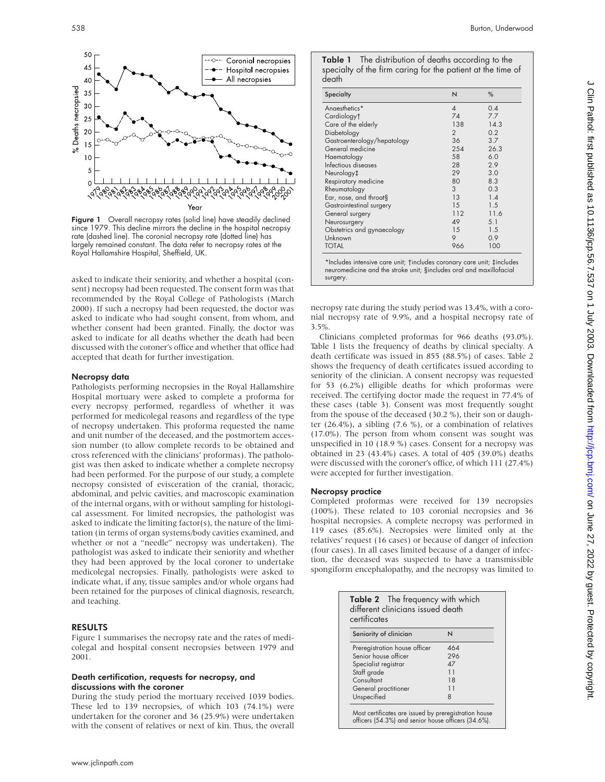

Figure 1 Overall necropsy rates (solid line) have steadily declined since 1979. This decline mirrors the decline in the hospital necropsy rate (dashed line). The coronial necropsy rate (dotted line) has largely remained constant. The data refer to necropsy rates at the Royal Hallamshire Hospital, Sheffield, UK.

asked to indicate their seniority, and whether a hospital (consent) necropsy had been requested. The consent form was that recommended by the Royal College of Pathologists (March 2000). If such a necropsy had been requested, the doctor was asked to indicate who had sought consent, from whom, and whether consent had been granted. Finally, the doctor was asked to indicate for all deaths whether the death had been discussed with the coroner's office and whether that office had accepted that death for further investigation.

#### Necropsy data

Pathologists performing necropsies in the Royal Hallamshire Hospital mortuary were asked to complete a proforma for every necropsy performed, regardless of whether it was performed for medicolegal reasons and regardless of the type of necropsy undertaken. This proforma requested the name and unit number of the deceased, and the postmortem accession number (to allow complete records to be obtained and cross referenced with the clinicians' proformas). The pathologist was then asked to indicate whether a complete necropsy had been performed. For the purpose of our study, a complete necropsy consisted of evisceration of the cranial, thoracic, abdominal, and pelvic cavities, and macroscopic examination of the internal organs, with or without sampling for histological assessment. For limited necropsies, the pathologist was asked to indicate the limiting factor(s), the nature of the limitation (in terms of organ systems/body cavities examined, and whether or not a "needle" necropsy was undertaken). The pathologist was asked to indicate their seniority and whether they had been approved by the local coroner to undertake medicolegal necropsies. Finally, pathologists were asked to indicate what, if any, tissue samples and/or whole organs had been retained for the purposes of clinical diagnosis, research, and teaching.

#### RESULTS

Figure 1 summarises the necropsy rate and the rates of medicolegal and hospital consent necropsies between 1979 and 2001.

#### Death certification, requests for necropsy, and discussions with the coroner

During the study period the mortuary received 1039 bodies. These led to 139 necropsies, of which 103 (74.1%) were undertaken for the coroner and 36 (25.9%) were undertaken with the consent of relatives or next of kin. Thus, the overall

|       | <b>Table 1</b> The distribution of deaths according to the  |
|-------|-------------------------------------------------------------|
| death | specialty of the firm caring for the patient at the time of |

| <b>Specialty</b>            | N                        | %    |
|-----------------------------|--------------------------|------|
| Angesthetics*               | $\overline{\mathcal{A}}$ | 0.4  |
| Cardiology <sup>+</sup>     | 74                       | 7.7  |
| Care of the elderly         | 138                      | 14.3 |
| Diabetology                 | 2                        | 0.2  |
| Gastroenterology/hepatology | 36                       | 3.7  |
| General medicine            | 254                      | 26.3 |
| Haematology                 | 58                       | 6.0  |
| Infectious diseases         | 28                       | 2.9  |
| Neurology‡                  | 29                       | 3.0  |
| Respiratory medicine        | 80                       | 8.3  |
| Rheumatology                | 3                        | 0.3  |
| Ear, nose, and throat§      | 13                       | 1.4  |
| Gastrointestinal surgery    | 15                       | 1.5  |
| General surgery             | 112                      | 11.6 |
| Neurosurgery                | 49                       | 5.1  |
| Obstetrics and gynaecology  | 15                       | 1.5  |
| Unknown                     | 9                        | 0.9  |
| TOTAL                       | 966                      | 100  |

\*Includes intensive care unit; †includes coronary care unit; ‡includes neuromedicine and the stroke unit; §includes oral and maxillofacial surgery.

necropsy rate during the study period was 13.4%, with a coronial necropsy rate of 9.9%, and a hospital necropsy rate of 3.5%.

Clinicians completed proformas for 966 deaths (93.0%). Table 1 lists the frequency of deaths by clinical specialty. A death certificate was issued in 855 (88.5%) of cases. Table 2 shows the frequency of death certificates issued according to seniority of the clinician. A consent necropsy was requested for 53 (6.2%) elligible deaths for which proformas were received. The certifying doctor made the request in 77.4% of these cases (table 3). Consent was most frequently sought from the spouse of the deceased (30.2 %), their son or daughter (26.4%), a sibling (7.6 %), or a combination of relatives (17.0%). The person from whom consent was sought was unspecified in 10 (18.9 %) cases. Consent for a necropsy was obtained in 23 (43.4%) cases. A total of 405 (39.0%) deaths were discussed with the coroner's office, of which 111 (27.4%) were accepted for further investigation.

#### Necropsy practice

Completed proformas were received for 139 necropsies (100%). These related to 103 coronial necropsies and 36 hospital necropsies. A complete necropsy was performed in 119 cases (85.6%). Necropsies were limited only at the relatives' request (16 cases) or because of danger of infection (four cases). In all cases limited because of a danger of infection, the deceased was suspected to have a transmissible spongiform encephalopathy, and the necropsy was limited to

| Seniority of clinician        | N          |  |
|-------------------------------|------------|--|
| Preregistration house officer | 464        |  |
| Senior house officer          | 296        |  |
| Specialist registrar          | $\Delta$ 7 |  |
| Staff grade                   | 11         |  |
| Consultant                    | 18         |  |
| General practitioner          | 11         |  |
| Unspecified                   | 8          |  |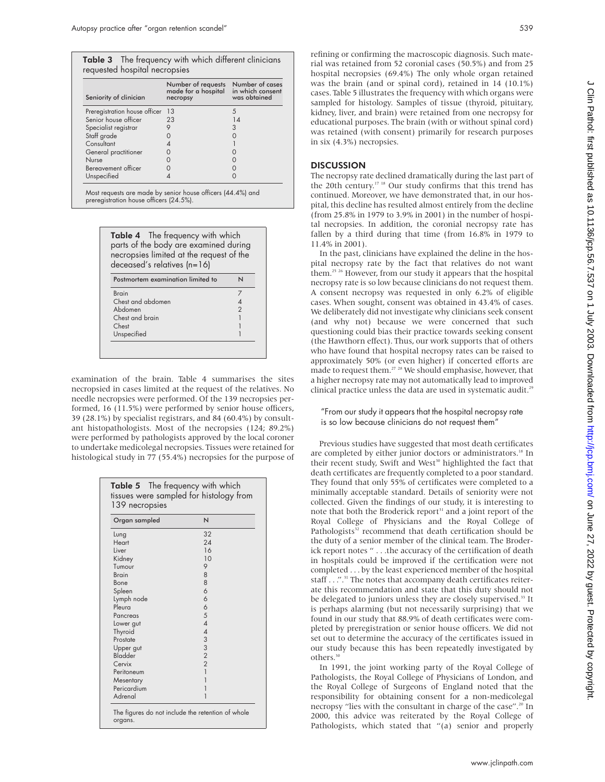requested hospital necropsies

**Table 3** The frequency with which different clinicians

Number of requests Number of cases

| Seniority of clinician                                                                                                                                                                                                                              | made for a hospital in which consent<br>necropsy                                                                             | was obtained                                            | cases. Table 5 ill<br>sampled for hi                                                                                                                                                 |
|-----------------------------------------------------------------------------------------------------------------------------------------------------------------------------------------------------------------------------------------------------|------------------------------------------------------------------------------------------------------------------------------|---------------------------------------------------------|--------------------------------------------------------------------------------------------------------------------------------------------------------------------------------------|
| Preregistration house officer 13<br>Senior house officer<br>Specialist registrar<br>Staff grade<br>Consultant<br>General practitioner<br>Nurse<br>Bereavement officer<br>Unspecified<br>Most requests are made by senior house officers (44.4%) and | 23<br>9<br>$\Omega$<br>$\overline{4}$<br>$\Omega$<br>$\Omega$<br>$\mathbf 0$<br>4                                            | 5<br>14<br>3<br>0<br>0<br>0<br>$\mathbf 0$<br>$\Omega$  | kidney, liver, ar<br>educational pur<br>was retained (y<br>in six (4.3%) no<br><b>DISCUSSION</b><br>The necropsy ra<br>the 20th centu<br>continued. Mor                              |
| preregistration house officers (24.5%).<br>deceased's relatives $(n=16)$                                                                                                                                                                            | <b>Table 4</b> The frequency with which<br>parts of the body are examined during<br>necropsies limited at the request of the |                                                         | pital, this declir<br>(from 25.8% in<br>tal necropsies.<br>fallen by a thi<br>11.4% in 2001).<br>In the past, c<br>pital necropsy                                                    |
| <b>Brain</b><br>Chest and abdomen<br>Abdomen<br>Chest and brain<br>Chest<br>Unspecified                                                                                                                                                             | Postmortem examination limited to                                                                                            | N<br>$\overline{7}$<br>$\overline{4}$<br>$\overline{2}$ | them. <sup>25</sup> <sup>26</sup> Howe<br>necropsy rate is<br>A consent nec<br>cases. When so<br>We deliberately<br>(and why no<br>questioning cou<br>(the Hawthorn<br>who have foun |

examination of the brain. Table 4 summarises the sites necropsied in cases limited at the request of the relatives. No needle necropsies were performed. Of the 139 necropsies performed, 16 (11.5%) were performed by senior house officers, 39 (28.1%) by specialist registrars, and 84 (60.4%) by consultant histopathologists. Most of the necropsies (124; 89.2%) were performed by pathologists approved by the local coroner to undertake medicolegal necropsies. Tissues were retained for histological study in 77 (55.4%) necropsies for the purpose of

|               | N                                     |
|---------------|---------------------------------------|
| Organ sampled |                                       |
| Lung          | 32                                    |
| Heart         | 24                                    |
| Liver         | 16                                    |
| Kidney        | 10                                    |
| Tumour        | 9                                     |
| <b>Brain</b>  | 8                                     |
| Bone          | 8                                     |
| Spleen        | 6                                     |
| Lymph node    | 6                                     |
| Pleura        | 6                                     |
| Pancreas      | 5                                     |
| Lower gut     | $\overline{4}$                        |
| Thyroid       | $\overline{\mathcal{A}}$              |
| Prostate      | $\begin{array}{c} 3 \\ 2 \end{array}$ |
| Upper gut     |                                       |
| Bladder       |                                       |
| Cervix        | $\overline{2}$                        |
| Peritoneum    | $\overline{1}$                        |
| Mesentary     | 1                                     |
| Pericardium   | 1                                     |
| Adrenal       | 1                                     |

refining or confirming the macroscopic diagnosis. Such material was retained from 52 coronial cases (50.5%) and from 25 hospital necropsies (69.4%) The only whole organ retained was the brain (and or spinal cord), retained in 14 (10.1%) lustrates the frequency with which organs were istology. Samples of tissue (thyroid, pituitary, nd brain) were retained from one necropsy for rposes. The brain (with or without spinal cord) with consent) primarily for research purposes ecropsies.

ate declined dramatically during the last part of Iry.<sup>17 18</sup> Our study confirms that this trend has reover, we have demonstrated that, in our hosne has resulted almost entirely from the decline 1979 to 3.9% in 2001) in the number of hospi-In addition, the coronial necropsy rate has ird during that time (from 16.8% in 1979 to 11.4% in 2001).

clinicians have explained the deline in the hosrate by the fact that relatives do not want ever, from our study it appears that the hospital so low because clinicians do not request them. ropsy was requested in only 6.2% of eligible ught, consent was obtained in 43.4% of cases. did not investigate why clinicians seek consent (t) because we were concerned that such questioning consent under their practice towards seeking consent effect). Thus, our work supports that of others d that hospital necropsy rates can be raised to approximately 50% (or even higher) if concerted efforts are made to request them.<sup>27</sup> <sup>28</sup> We should emphasise, however, that a higher necropsy rate may not automatically lead to improved clinical practice unless the data are used in systematic audit.<sup>29</sup>

#### "From our study it appears that the hospital necropsy rate is so low because clinicians do not request them"

Previous studies have suggested that most death certificates are completed by either junior doctors or administrators.<sup>18</sup> In their recent study, Swift and West<sup>30</sup> highlighted the fact that death certificates are frequently completed to a poor standard. They found that only 55% of certificates were completed to a minimally acceptable standard. Details of seniority were not collected. Given the findings of our study, it is interesting to note that both the Broderick report<sup>31</sup> and a joint report of the Royal College of Physicians and the Royal College of Pathologists<sup>32</sup> recommend that death certification should be the duty of a senior member of the clinical team. The Broderick report notes " . . .the accuracy of the certification of death in hospitals could be improved if the certification were not completed . . . by the least experienced member of the hospital staff . . . ".<sup>31</sup> The notes that accompany death certificates reiterate this recommendation and state that this duty should not be delegated to juniors unless they are closely supervised.<sup>33</sup> It is perhaps alarming (but not necessarily surprising) that we found in our study that 88.9% of death certificates were completed by preregistration or senior house officers. We did not set out to determine the accuracy of the certificates issued in our study because this has been repeatedly investigated by others.<sup>3</sup>

In 1991, the joint working party of the Royal College of Pathologists, the Royal College of Physicians of London, and the Royal College of Surgeons of England noted that the responsibility for obtaining consent for a non-medicolegal necropsy "lies with the consultant in charge of the case".20 In 2000, this advice was reiterated by the Royal College of Pathologists, which stated that "(a) senior and properly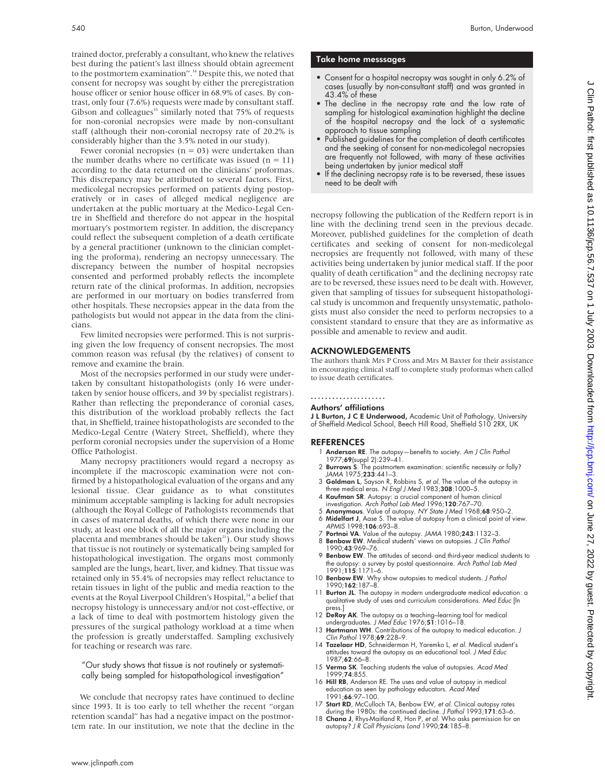trained doctor, preferably a consultant, who knew the relatives best during the patient's last illness should obtain agreement to the postmortem examination".<sup>34</sup> Despite this, we noted that consent for necropsy was sought by either the preregistration house officer or senior house officer in 68.9% of cases. By contrast, only four (7.6%) requests were made by consultant staff. Gibson and colleagues<sup>35</sup> similarly noted that  $75\%$  of requests for non-coronial necropsies were made by non-consultant staff (although their non-coronial necropsy rate of 20.2% is considerably higher than the 3.5% noted in our study).

Fewer coronial necropsies ( $n = 03$ ) were undertaken than the number deaths where no certificate was issued  $(n = 11)$ according to the data returned on the clinicians' proformas. This discrepancy may be attributed to several factors. First, medicolegal necropsies performed on patients dying postoperatively or in cases of alleged medical negligence are undertaken at the public mortuary at the Medico-Legal Centre in Sheffield and therefore do not appear in the hospital mortuary's postmortem register. In addition, the discrepancy could reflect the subsequent completion of a death certificate by a general practitioner (unknown to the clinician completing the proforma), rendering an necropsy unnecessary. The discrepancy between the number of hospital necropsies consented and performed probably reflects the incomplete return rate of the clinical proformas. In addition, necropsies are performed in our mortuary on bodies transferred from other hospitals. These necropsies appear in the data from the pathologists but would not appear in the data from the clinicians.

Few limited necropsies were performed. This is not surprising given the low frequency of consent necropsies. The most common reason was refusal (by the relatives) of consent to remove and examine the brain.

Most of the necropsies performed in our study were undertaken by consultant histopathologists (only 16 were undertaken by senior house officers, and 39 by specialist registrars). Rather than reflecting the preponderance of coronial cases, this distribution of the workload probably reflects the fact that, in Sheffield, trainee histopathologists are seconded to the Medico-Legal Centre (Watery Street, Sheffield), where they perform coronial necropsies under the supervision of a Home Office Pathologist.

Many necropsy practitioners would regard a necropsy as incomplete if the macroscopic examination were not confirmed by a histopathological evaluation of the organs and any lesional tissue. Clear guidance as to what constitutes minimum acceptable sampling is lacking for adult necropsies (although the Royal College of Pathologists recommends that in cases of maternal deaths, of which there were none in our study, at least one block of all the major organs including the placenta and membranes should be taken<sup>21</sup>). Our study shows that tissue is not routinely or systematically being sampled for histopathological investigation. The organs most commonly sampled are the lungs, heart, liver, and kidney. That tissue was retained only in 55.4% of necropsies may reflect reluctance to retain tissues in light of the public and media reaction to the events at the Royal Liverpool Children's Hospital,<sup>24</sup> a belief that necropsy histology is unnecessary and/or not cost-effective, or a lack of time to deal with postmortem histology given the pressures of the surgical pathology workload at a time when the profession is greatly understaffed. Sampling exclusively for teaching or research was rare.

"Our study shows that tissue is not routinely or systematically being sampled for histopathological investigation"

We conclude that necropsy rates have continued to decline since 1993. It is too early to tell whether the recent "organ retention scandal" has had a negative impact on the postmortem rate. In our institution, we note that the decline in the

#### Take home messsages

- Consent for a hospital necropsy was sought in only 6.2% of cases (usually by non-consultant staff) and was granted in 43.4% of these
- The decline in the necropsy rate and the low rate of sampling for histological examination highlight the decline of the hospital necropsy and the lack of a systematic approach to tissue sampling
- Published guidelines for the completion of death certificates and the seeking of consent for non-medicolegal necropsies are frequently not followed, with many of these activities being undertaken by junior medical staff
- If the declining necropsy rate is to be reversed, these issues need to be dealt with

necropsy following the publication of the Redfern report is in line with the declining trend seen in the previous decade. Moreover, published guidelines for the completion of death certificates and seeking of consent for non-medicolegal necropsies are frequently not followed, with many of these activities being undertaken by junior medical staff. If the poor quality of death certification<sup>30</sup> and the declining necropsy rate are to be reversed, these issues need to be dealt with. However, given that sampling of tissues for subsequent histopathological study is uncommon and frequently unsystematic, pathologists must also consider the need to perform necropsies to a consistent standard to ensure that they are as informative as possible and amenable to review and audit.

#### ACKNOWLEDGEMENTS

The authors thank Mrs P Cross and Mrs M Baxter for their assistance in encouraging clinical staff to complete study proformas when called to issue death certificates.

### .....................

#### Authors' affiliations

J L Burton, J C E Underwood, Academic Unit of Pathology, University of Sheffield Medical School, Beech Hill Road, Sheffield S10 2RX, UK

#### REFERENCES

- Anderson RE. The autopsy-benefits to society. Am J Clin Pathol 1977;**69**(suppl 2):239–41.<br>2 **Burrows S**. The postmortem examination: scientific necessity or folly?
- JAMA 1975;233:441–3. 3 Goldman L, Sayson R, Robbins S, et al. The value of the autopsy in
- three medical eras. N Engl J Med 1983;308:1000-5.
- 4 Kaufman SR. Autopsy: a crucial component of human clinical investigation. Arch Pathol Lab Med 1996;120:767–70.
- 5 **Anonymous**. Value of autopsy. NY State J Med 1968;**68**:950–2.<br>6 **Midelfart J**, Aase S. The value of autopsy from a clinical point of view.
- APMIS 1998;106:693–8. 7 Portnoi VA. Value of the autopsy. JAMA 1980;243:1132–3.
- 8 Benbow EW. Medical students' views on autopsies. J Clin Pathol 1990;43:969–76.
- 9 Benbow EW. The attitudes of second- and third-year medical students to the autopsy: a survey by postal questionnaire. Arch Pathol Lab Med 1991;115:1171–6.
- 10 Benbow EW. Why show autopsies to medical students. J Pathol 1990;162:187–8.
- 11 Burton JL. The autopsy in modern undergraduate medical education: a qualitative study of uses and curriculum considerations. Med Educ [In press.]
- 12 DeRoy AK. The autopsy as a teaching–learning tool for medical undergraduates. J Med Educ 1976;51:1016–18.
- 13 Hartmann WH. Contributions of the autopsy to medical education. J Clin Pathol 1978;69:228–9. 14 Tazelaar HD, Schneiderman H, Yaremko L, et al. Medical student's
- attitudes toward the autopsy as an educational tool. J Med Educ 1987;62:66–8.
- 15 Verma SK. Teaching students the value of autopsies. Acad Med 1999:74:855.
- 16 Hill RB, Anderson RE. The uses and value of autopsy in medical education as seen by pathology educators. Acad Med 1991;66:97–100.
- 17 Start RD, McCulloch TA, Benbow EW, et al. Clinical autopsy rates during the 1980s: the continued decline. J Pathol 1993;171:63–6.
- 18 Chana J, Rhys-Maitland R, Hon P, et al. Who asks permission for an autopsy? J <sup>R</sup> Coll Physicians Lond 1990;24:185–8.